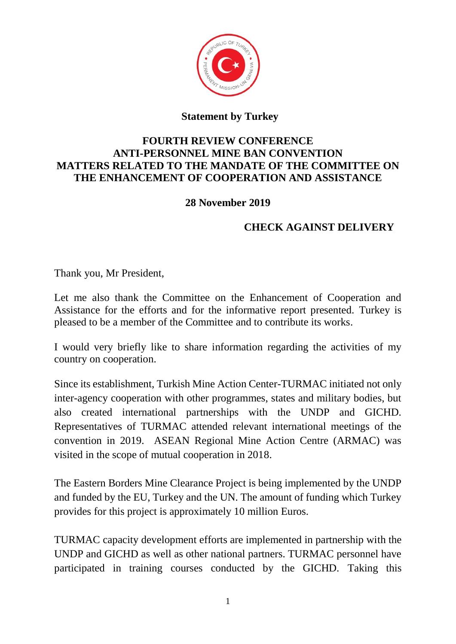

## **Statement by Turkey**

## **FOURTH REVIEW CONFERENCE ANTI-PERSONNEL MINE BAN CONVENTION MATTERS RELATED TO THE MANDATE OF THE COMMITTEE ON THE ENHANCEMENT OF COOPERATION AND ASSISTANCE**

## **28 November 2019**

## **CHECK AGAINST DELIVERY**

Thank you, Mr President,

Let me also thank the Committee on the Enhancement of Cooperation and Assistance for the efforts and for the informative report presented. Turkey is pleased to be a member of the Committee and to contribute its works.

I would very briefly like to share information regarding the activities of my country on cooperation.

Since its establishment, Turkish Mine Action Center-TURMAC initiated not only inter-agency cooperation with other programmes, states and military bodies, but also created international partnerships with the UNDP and GICHD. Representatives of TURMAC attended relevant international meetings of the convention in 2019. ASEAN Regional Mine Action Centre (ARMAC) was visited in the scope of mutual cooperation in 2018.

The Eastern Borders Mine Clearance Project is being implemented by the UNDP and funded by the EU, Turkey and the UN. The amount of funding which Turkey provides for this project is approximately 10 million Euros.

TURMAC capacity development efforts are implemented in partnership with the UNDP and GICHD as well as other national partners. TURMAC personnel have participated in training courses conducted by the GICHD. Taking this